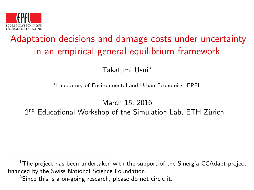

# Adaptation decisions and damage costs under uncertainty in an empirical general equilibrium framework

Takafumi Usui<sup>∗</sup>

<sup>∗</sup>Laboratory of Environmental and Urban Economics, EPFL

March 15, 2016 2<sup>nd</sup> Educational Workshop of the Simulation Lab, ETH Zürich

 $1$ The proiect has been undertaken with the support of the Sinergia-CCAdapt project financed by the Swiss National Science Foundation.

 $2$ Since this is a on-going research, please do not circle it.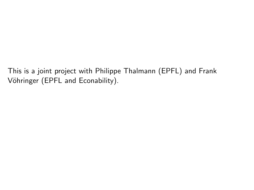This is a joint project with Philippe Thalmann (EPFL) and Frank Vöhringer (EPFL and Econability).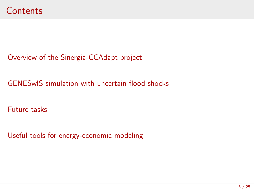[Overview of the Sinergia-CCAdapt project](#page-3-0)

[GENESwIS simulation with uncertain flood shocks](#page-7-0)

[Future tasks](#page-19-0)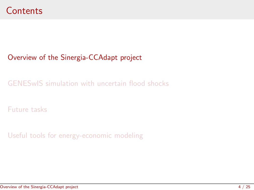### <span id="page-3-0"></span>[Overview of the Sinergia-CCAdapt project](#page-3-0)

[GENESwIS simulation with uncertain flood shocks](#page-7-0)

[Future tasks](#page-19-0)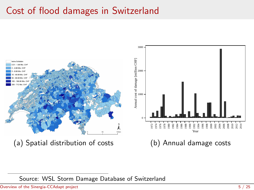# Cost of flood damages in Switzerland



Source: WSL Storm Damage Database of Switzerland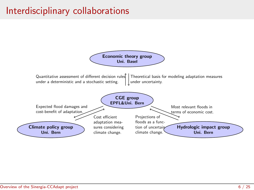# Interdisciplinary collaborations

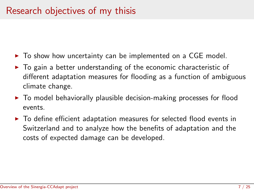- $\triangleright$  To show how uncertainty can be implemented on a CGE model.
- $\triangleright$  To gain a better understanding of the economic characteristic of different adaptation measures for flooding as a function of ambiguous climate change.
- $\triangleright$  To model behaviorally plausible decision-making processes for flood events.
- $\blacktriangleright$  To define efficient adaptation measures for selected flood events in Switzerland and to analyze how the benefits of adaptation and the costs of expected damage can be developed.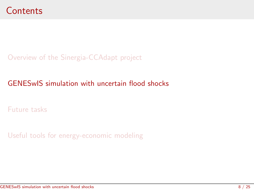<span id="page-7-0"></span>[Overview of the Sinergia-CCAdapt project](#page-3-0)

### [GENESwIS simulation with uncertain flood shocks](#page-7-0)

[Future tasks](#page-19-0)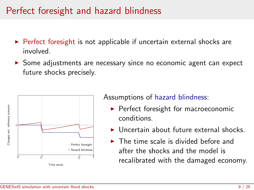## Perfect foresight and hazard blindness

- $\triangleright$  Perfect foresight is not applicable if uncertain external shocks are involved.
- $\triangleright$  Some adjustments are necessary since no economic agent can expect future shocks precisely.





Assumptions of hazard blindness:

- $\blacktriangleright$  Perfect foresight for macroeconomic conditions.
- $\blacktriangleright$  Uncertain about future external shocks.
- $\blacktriangleright$  The time scale is divided before and after the shocks and the model is recalibrated with the damaged economy.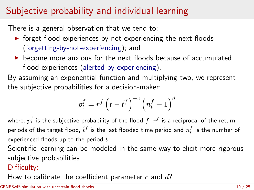# Subjective probability and individual learning

There is a general observation that we tend to:

- $\triangleright$  forget flood experiences by not experiencing the next floods (forgetting-by-not-experiencing); and
- $\triangleright$  become more anxious for the next floods because of accumulated flood experiences (alerted-by-experiencing).

By assuming an exponential function and multiplying two, we represent the subjective probabilities for a decision-maker:

$$
p^f_t = \overline{r}^f \left( t - \hat{t}^f \right)^{-c} \left( n^f_t + 1 \right)^d
$$

where,  $p_t^f$  is the subjective probability of the flood  $f,$   $\bar{r}^f$  is a reciprocal of the return periods of the target flood,  $\hat{t}^f$  is the last flooded time period and  $n_t^f$  is the number of experienced floods up to the period  $t$ .

Scientific learning can be modeled in the same way to elicit more rigorous subjective probabilities.

#### Difficulty:

How to calibrate the coefficient parameter c and  $d$ ?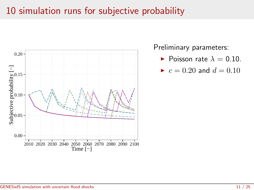## 10 simulation runs for subjective probability



Preliminary parameters:

Poisson rate  $\lambda = 0.10$ .

$$
\blacktriangleright \ c = 0.20 \text{ and } d = 0.10
$$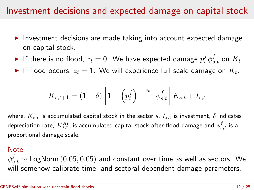### Investment decisions and expected damage on capital stock

- $\triangleright$  Investment decisions are made taking into account expected damage on capital stock.
- $\blacktriangleright$  If there is no flood,  $z_t=0.$  We have expected damage  $p_t^f\phi_{s,t}^f$  on  $K_t.$
- $\blacktriangleright$  If flood occurs,  $z_t = 1$ . We will experience full scale damage on  $K_t$ .

$$
K_{s,t+1} = (1 - \delta) \left[ 1 - \left( p_t^f \right)^{1 - z_t} \cdot \phi_{s,t}^f \right] K_{s,t} + I_{s,t}
$$

where,  $K_{s,t}$  is accumulated capital stock in the sector  $s$ ,  $I_{s,t}$  is investment,  $\delta$  indicates depreciation rate,  $K_{s,t}^{AF}$  is accumulated capital stock after flood damage and  $\phi_{s,t}^{f}$  is a proportional damage scale.

#### Note:

 $\phi^f_{s,t} \sim \textsf{LogNorm}\left(0.05,0.05\right)$  and constant over time as well as sectors. We will somehow calibrate time- and sectoral-dependent damage parameters.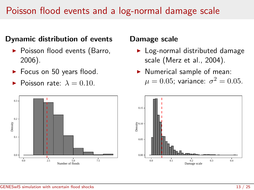## Poisson flood events and a log-normal damage scale

### Dynamic distribution of events

- $\blacktriangleright$  Poisson flood events (Barro, 2006).
- $\blacktriangleright$  Focus on 50 years flood.
- Poisson rate:  $\lambda = 0.10$ .



#### Damage scale

- $\blacktriangleright$  Log-normal distributed damage scale (Merz et al., 2004).
- $\blacktriangleright$  Numerical sample of mean:  $\mu=0.05$ ; variance:  $\sigma^2=0.05.$

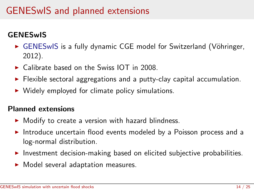# GENESwIS and planned extensions

### **GENESwIS**

- ► GENESwIS is a fully dynamic CGE model for Switzerland (Vöhringer, 2012).
- $\triangleright$  Calibrate based on the Swiss IOT in 2008.
- $\triangleright$  Flexible sectoral aggregations and a putty-clay capital accumulation.
- $\triangleright$  Widely employed for climate policy simulations.

#### Planned extensions

- $\triangleright$  Modify to create a version with hazard blindness.
- Introduce uncertain flood events modeled by a Poisson process and a log-normal distribution.
- $\blacktriangleright$  Investment decision-making based on elicited subjective probabilities.
- $\blacktriangleright$  Model several adaptation measures.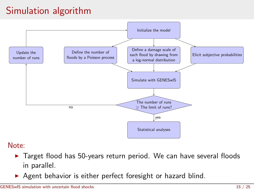# Simulation algorithm



#### Note:

- $\blacktriangleright$  Target flood has 50-years return period. We can have several floods in parallel.
- $\blacktriangleright$  Agent behavior is either perfect foresight or hazard blind.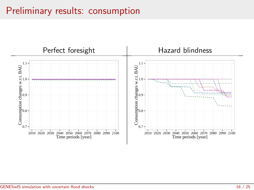# Preliminary results: consumption

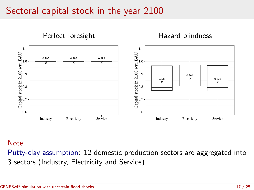### Sectoral capital stock in the year 2100



#### Note:

Putty-clay assumption: 12 domestic production sectors are aggregated into 3 sectors (Industry, Electricity and Service).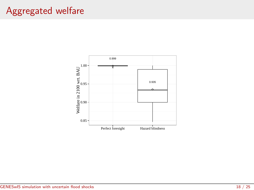# Aggregated welfare

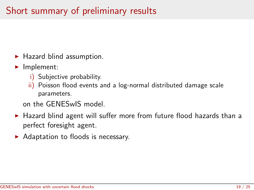# Short summary of preliminary results

- $\blacktriangleright$  Hazard blind assumption.
- $\blacktriangleright$  Implement:
	- i) Subjective probability.
	- ii) Poisson flood events and a log-normal distributed damage scale parameters.

on the GENESwIS model.

- $\blacktriangleright$  Hazard blind agent will suffer more from future flood hazards than a perfect foresight agent.
- $\blacktriangleright$  Adaptation to floods is necessary.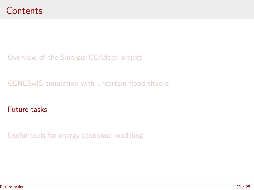<span id="page-19-0"></span>[Overview of the Sinergia-CCAdapt project](#page-3-0)

[GENESwIS simulation with uncertain flood shocks](#page-7-0)

[Future tasks](#page-19-0)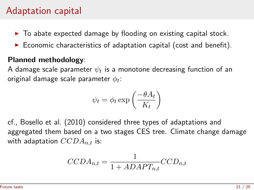## Adaptation capital

- $\triangleright$  To abate expected damage by flooding on existing capital stock.
- $\triangleright$  Economic characteristics of adaptation capital (cost and benefit).

#### Planned methodology:

A damage scale parameter  $\psi_t$  is a monotone decreasing function of an original damage scale parameter  $\phi_t$ :

$$
\psi_t = \phi_t \exp\left(\frac{-\theta A_t}{K_t}\right)
$$

cf., Bosello et al. (2010) considered three types of adaptations and aggregated them based on a two stages CES tree. Climate change damage with adaptation  $CCDA_{n,t}$  is:

$$
CCDA_{n,t} = \frac{1}{1 + ADAPT_{n,t}}CCD_{n,t}
$$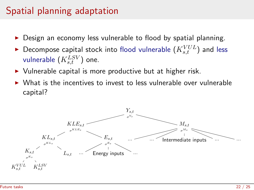# Spatial planning adaptation

- Design an economy less vulnerable to flood by spatial planning.
- $\blacktriangleright$  Decompose capital stock into flood vulnerable  $(K_{s,t}^{VUL})$  and less vulnerable  $\left(K_{s,t}^{LSV}\right)$  one.
- $\triangleright$  Vulnerable capital is more productive but at higher risk.
- <sup>I</sup> What is the incentives to invest to less vulnerable over vulnerable capital?

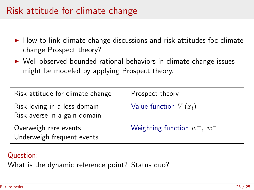## Risk attitude for climate change

- $\triangleright$  How to link climate change discussions and risk attitudes foc climate change Prospect theory?
- $\triangleright$  Well-observed bounded rational behaviors in climate change issues might be modeled by applying Prospect theory.

| Risk attitude for climate change                             | Prospect theory                  |
|--------------------------------------------------------------|----------------------------------|
| Risk-loving in a loss domain<br>Risk-averse in a gain domain | Value function $V(x_i)$          |
| Overweigh rare events<br>Underweigh frequent events          | Weighting function $w^+$ , $w^-$ |

#### Question:

What is the dynamic reference point? Status quo?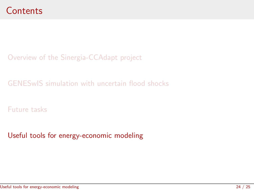<span id="page-23-0"></span>[Overview of the Sinergia-CCAdapt project](#page-3-0)

[GENESwIS simulation with uncertain flood shocks](#page-7-0)

[Future tasks](#page-19-0)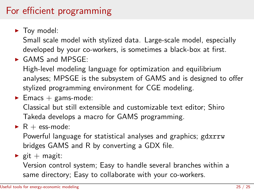# For efficient programming

 $\blacktriangleright$  Toy model:

Small scale model with stylized data. Large-scale model, especially developed by your co-workers, is sometimes a black-box at first.

 $\triangleright$  GAMS and MPSGE:

High-level modeling language for optimization and equilibrium analyses; MPSGE is the subsystem of GAMS and is designed to offer stylized programming environment for CGE modeling.

 $\blacktriangleright$  Emacs + gams-mode:

Classical but still extensible and customizable text editor; Shiro Takeda develops a macro for GAMS programming.

 $\blacktriangleright$  R + ess-mode:

Powerful language for statistical analyses and graphics; gdxrrw bridges GAMS and R by converting a GDX file.

 $\blacktriangleright$  git + magit:

Version control system; Easy to handle several branches within a same directory; Easy to collaborate with your co-workers.